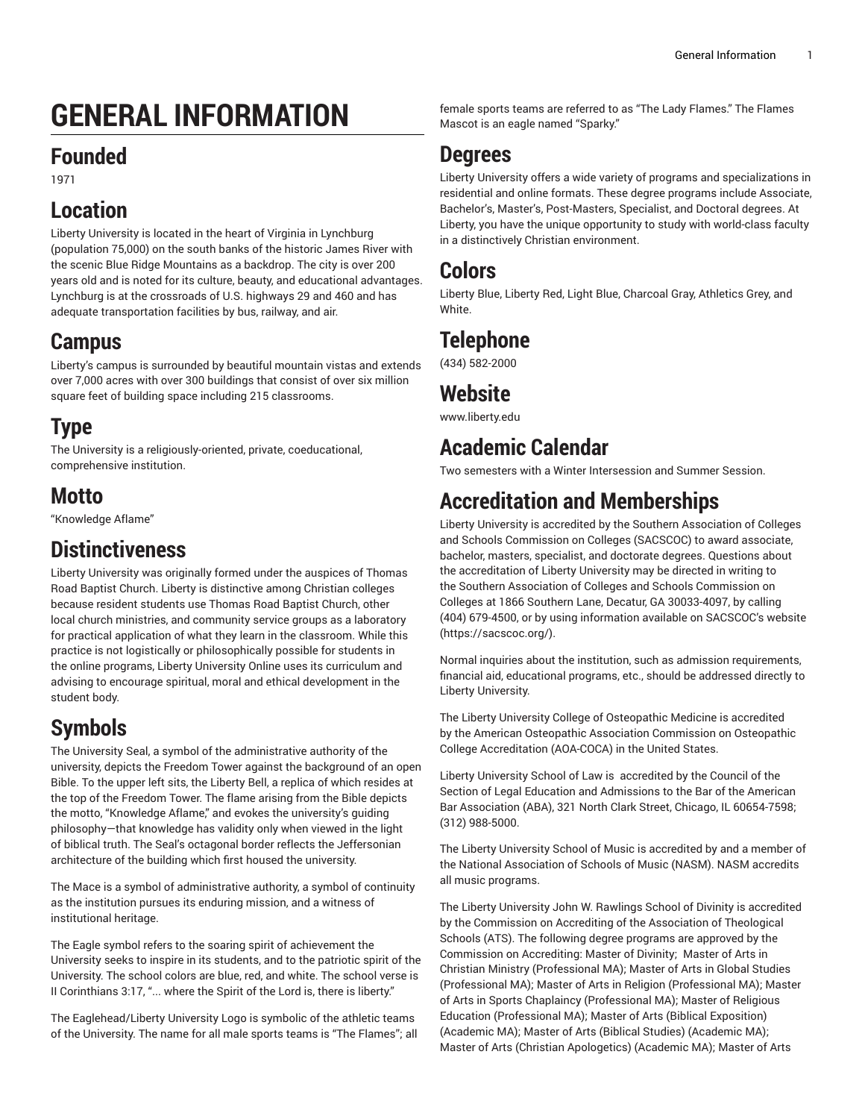# **GENERAL INFORMATION**

### **Founded**

1971

### **Location**

Liberty University is located in the heart of Virginia in Lynchburg (population 75,000) on the south banks of the historic James River with the scenic Blue Ridge Mountains as a backdrop. The city is over 200 years old and is noted for its culture, beauty, and educational advantages. Lynchburg is at the crossroads of U.S. highways 29 and 460 and has adequate transportation facilities by bus, railway, and air.

### **Campus**

Liberty's campus is surrounded by beautiful mountain vistas and extends over 7,000 acres with over 300 buildings that consist of over six million square feet of building space including 215 classrooms.

# **Type**

The University is a religiously-oriented, private, coeducational, comprehensive institution.

# **Motto**

"Knowledge Aflame"

# **Distinctiveness**

Liberty University was originally formed under the auspices of Thomas Road Baptist Church. Liberty is distinctive among Christian colleges because resident students use Thomas Road Baptist Church, other local church ministries, and community service groups as a laboratory for practical application of what they learn in the classroom. While this practice is not logistically or philosophically possible for students in the online programs, Liberty University Online uses its curriculum and advising to encourage spiritual, moral and ethical development in the student body.

# **Symbols**

The University Seal, a symbol of the administrative authority of the university, depicts the Freedom Tower against the background of an open Bible. To the upper left sits, the Liberty Bell, a replica of which resides at the top of the Freedom Tower. The flame arising from the Bible depicts the motto, "Knowledge Aflame," and evokes the university's guiding philosophy—that knowledge has validity only when viewed in the light of biblical truth. The Seal's octagonal border reflects the Jeffersonian architecture of the building which first housed the university.

The Mace is a symbol of administrative authority, a symbol of continuity as the institution pursues its enduring mission, and a witness of institutional heritage.

The Eagle symbol refers to the soaring spirit of achievement the University seeks to inspire in its students, and to the patriotic spirit of the University. The school colors are blue, red, and white. The school verse is II Corinthians 3:17, "... where the Spirit of the Lord is, there is liberty."

The Eaglehead/Liberty University Logo is symbolic of the athletic teams of the University. The name for all male sports teams is "The Flames"; all female sports teams are referred to as "The Lady Flames." The Flames Mascot is an eagle named "Sparky."

### **Degrees**

Liberty University offers a wide variety of programs and specializations in residential and online formats. These degree programs include Associate, Bachelor's, Master's, Post-Masters, Specialist, and Doctoral degrees. At Liberty, you have the unique opportunity to study with world-class faculty in a distinctively Christian environment.

### **Colors**

Liberty Blue, Liberty Red, Light Blue, Charcoal Gray, Athletics Grey, and White.

# **Telephone**

(434) 582-2000

### **Website**

[www.liberty.edu](https://www.liberty.edu)

# **Academic Calendar**

Two semesters with a Winter Intersession and Summer Session.

# **Accreditation and Memberships**

Liberty University is accredited by the Southern Association of Colleges and Schools Commission on Colleges (SACSCOC) to award associate, bachelor, masters, specialist, and doctorate degrees. Questions about the accreditation of Liberty University may be directed in writing to the Southern Association of Colleges and Schools Commission on Colleges at 1866 Southern Lane, Decatur, GA 30033-4097, by calling (404) 679-4500, or by using information available on SACSCOC's website [\(https://sacscoc.org/\)](https://sacscoc.org/).

Normal inquiries about the institution, such as admission requirements, financial aid, educational programs, etc., should be addressed directly to Liberty University.

The Liberty University College of Osteopathic Medicine is accredited by the American Osteopathic Association Commission on Osteopathic College Accreditation (AOA-COCA) in the United States.

Liberty University School of Law is accredited by the Council of the Section of Legal Education and Admissions to the Bar of the American Bar Association (ABA), 321 North Clark Street, Chicago, IL 60654-7598; (312) 988-5000.

The Liberty University School of Music is accredited by and a member of the National Association of Schools of Music (NASM). NASM accredits all music programs.

The Liberty University John W. Rawlings School of Divinity is accredited by the Commission on Accrediting of the Association of Theological Schools (ATS). The following degree programs are approved by the Commission on Accrediting: Master of Divinity; Master of Arts in Christian Ministry (Professional MA); Master of Arts in Global Studies (Professional MA); Master of Arts in Religion (Professional MA); Master of Arts in Sports Chaplaincy (Professional MA); Master of Religious Education (Professional MA); Master of Arts (Biblical Exposition) (Academic MA); Master of Arts (Biblical Studies) (Academic MA); Master of Arts (Christian Apologetics) (Academic MA); Master of Arts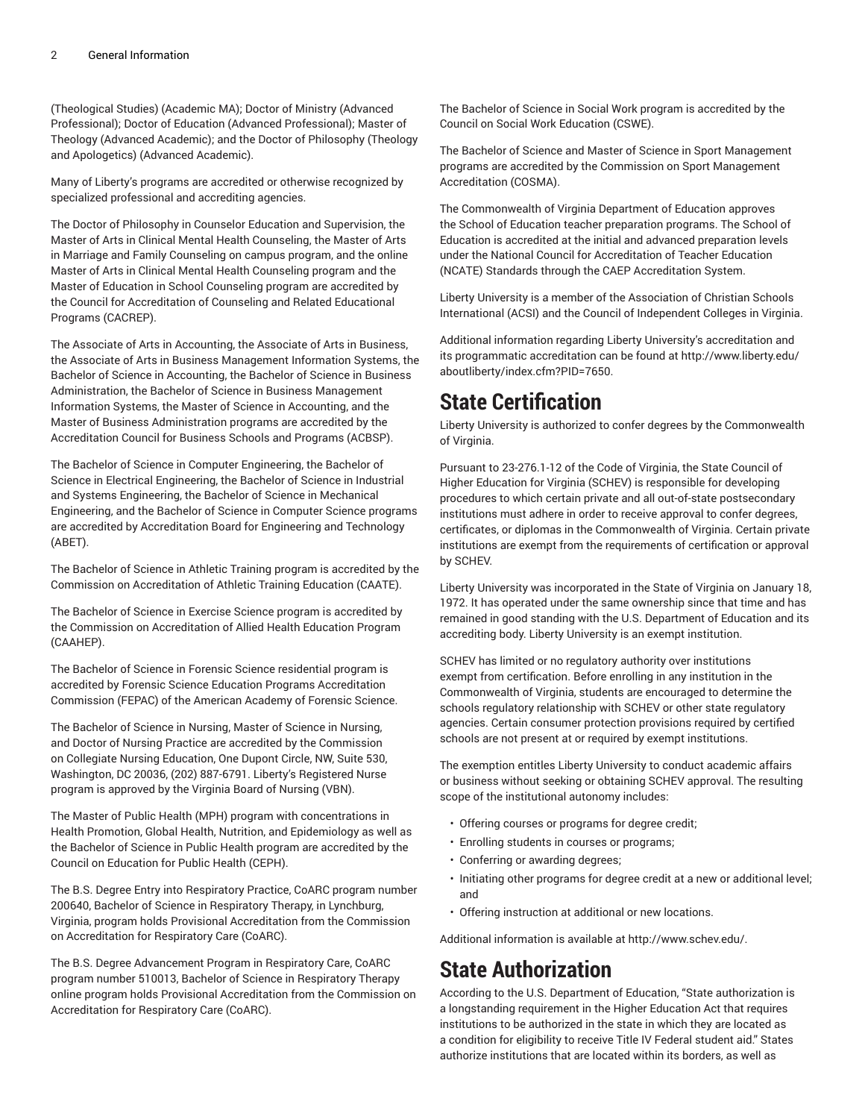(Theological Studies) (Academic MA); Doctor of Ministry (Advanced Professional); Doctor of Education (Advanced Professional); Master of Theology (Advanced Academic); and the Doctor of Philosophy (Theology and Apologetics) (Advanced Academic).

Many of Liberty's programs are accredited or otherwise recognized by specialized professional and accrediting agencies.

The Doctor of Philosophy in Counselor Education and Supervision, the Master of Arts in Clinical Mental Health Counseling, the Master of Arts in Marriage and Family Counseling on campus program, and the online Master of Arts in Clinical Mental Health Counseling program and the Master of Education in School Counseling program are accredited by the Council for Accreditation of Counseling and Related Educational Programs (CACREP).

The Associate of Arts in Accounting, the Associate of Arts in Business, the Associate of Arts in Business Management Information Systems, the Bachelor of Science in Accounting, the Bachelor of Science in Business Administration, the Bachelor of Science in Business Management Information Systems, the Master of Science in Accounting, and the Master of Business Administration programs are accredited by the Accreditation Council for Business Schools and Programs (ACBSP).

The Bachelor of Science in Computer Engineering, the Bachelor of Science in Electrical Engineering, the Bachelor of Science in Industrial and Systems Engineering, the Bachelor of Science in Mechanical Engineering, and the Bachelor of Science in Computer Science programs are accredited by Accreditation Board for Engineering and Technology (ABET).

The Bachelor of Science in Athletic Training program is accredited by the Commission on Accreditation of Athletic Training Education (CAATE).

The Bachelor of Science in Exercise Science program is accredited by the Commission on Accreditation of Allied Health Education Program (CAAHEP).

The Bachelor of Science in Forensic Science residential program is accredited by Forensic Science Education Programs Accreditation Commission (FEPAC) of the American Academy of Forensic Science.

The Bachelor of Science in Nursing, Master of Science in Nursing, and Doctor of Nursing Practice are accredited by the Commission on Collegiate Nursing Education, One Dupont Circle, NW, Suite 530, Washington, DC 20036, (202) 887-6791. Liberty's Registered Nurse program is approved by the Virginia Board of Nursing (VBN).

The Master of Public Health (MPH) program with concentrations in Health Promotion, Global Health, Nutrition, and Epidemiology as well as the Bachelor of Science in Public Health program are accredited by the Council on Education for Public Health (CEPH).

The B.S. Degree Entry into Respiratory Practice, CoARC program number 200640, Bachelor of Science in Respiratory Therapy, in Lynchburg, Virginia, program holds Provisional Accreditation from the Commission on Accreditation for Respiratory Care (CoARC).

The B.S. Degree Advancement Program in Respiratory Care, CoARC program number 510013, Bachelor of Science in Respiratory Therapy online program holds Provisional Accreditation from the Commission on Accreditation for Respiratory Care (CoARC).

The Bachelor of Science in Social Work program is accredited by the Council on Social Work Education (CSWE).

The Bachelor of Science and Master of Science in Sport Management programs are accredited by the Commission on Sport Management Accreditation (COSMA).

The Commonwealth of Virginia Department of Education approves the School of Education teacher preparation programs. The School of Education is accredited at the initial and advanced preparation levels under the National Council for Accreditation of Teacher Education (NCATE) Standards through the CAEP Accreditation System.

Liberty University is a member of the Association of Christian Schools International (ACSI) and the Council of Independent Colleges in Virginia.

Additional information regarding Liberty University's accreditation and its programmatic accreditation can be found at [http://www.liberty.edu/](http://www.liberty.edu/aboutliberty/?PID=7650) [aboutliberty/index.cfm?PID=7650](http://www.liberty.edu/aboutliberty/?PID=7650).

### **State Certification**

Liberty University is authorized to confer degrees by the Commonwealth of Virginia.

Pursuant to 23-276.1-12 of the Code of Virginia, the State Council of Higher Education for Virginia (SCHEV) is responsible for developing procedures to which certain private and all out-of-state postsecondary institutions must adhere in order to receive approval to confer degrees, certificates, or diplomas in the Commonwealth of Virginia. Certain private institutions are exempt from the requirements of certification or approval by SCHEV.

Liberty University was incorporated in the State of Virginia on January 18, 1972. It has operated under the same ownership since that time and has remained in good standing with the U.S. Department of Education and its accrediting body. Liberty University is an exempt institution.

SCHEV has limited or no regulatory authority over institutions exempt from certification. Before enrolling in any institution in the Commonwealth of Virginia, students are encouraged to determine the schools regulatory relationship with SCHEV or other state regulatory agencies. Certain consumer protection provisions required by certified schools are not present at or required by exempt institutions.

The exemption entitles Liberty University to conduct academic affairs or business without seeking or obtaining SCHEV approval. The resulting scope of the institutional autonomy includes:

- Offering courses or programs for degree credit;
- Enrolling students in courses or programs;
- Conferring or awarding degrees;
- Initiating other programs for degree credit at a new or additional level; and
- Offering instruction at additional or new locations.

Additional information is available at <http://www.schev.edu/>.

# **State Authorization**

According to the U.S. Department of Education, "State authorization is a longstanding requirement in the Higher Education Act that requires institutions to be authorized in the state in which they are located as a condition for eligibility to receive Title IV Federal student aid." States authorize institutions that are located within its borders, as well as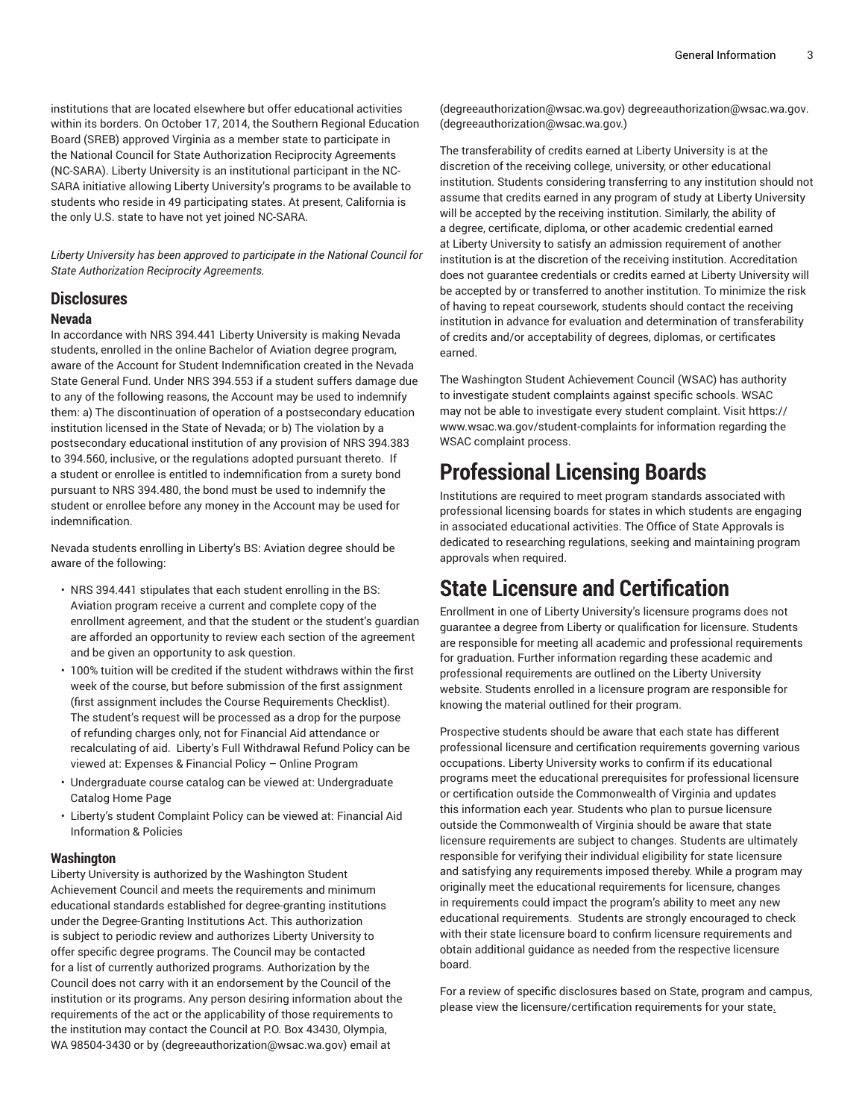institutions that are located elsewhere but offer educational activities within its borders. On October 17, 2014, the Southern Regional Education Board (SREB) approved Virginia as a member state to participate in the National Council for State Authorization Reciprocity Agreements (NC-SARA). Liberty University is an institutional participant in the NC-SARA initiative allowing Liberty University's programs to be available to students who reside in 49 participating states. At present, California is the only U.S. state to have not yet joined NC-SARA.

*Liberty University has been approved to participate in the National Council for State Authorization Reciprocity Agreements.*

#### **Disclosures**

#### **Nevada**

In accordance with NRS 394.441 Liberty University is making Nevada students, enrolled in the online Bachelor of Aviation degree program, aware of the Account for Student Indemnification created in the Nevada State General Fund. Under NRS 394.553 if a student suffers damage due to any of the following reasons, the Account may be used to indemnify them: a) The discontinuation of operation of a postsecondary education institution licensed in the State of Nevada; or b) The violation by a postsecondary educational institution of any provision of NRS 394.383 to 394.560, inclusive, or the regulations adopted pursuant thereto. If a student or enrollee is entitled to indemnification from a surety bond pursuant to NRS 394.480, the bond must be used to indemnify the student or enrollee before any money in the Account may be used for indemnification.

Nevada students enrolling in Liberty's BS: Aviation degree should be aware of the following:

- NRS 394.441 stipulates that each student enrolling in the BS: Aviation program receive a current and complete copy of the enrollment agreement, and that the student or the student's guardian are afforded an opportunity to review each section of the agreement and be given an opportunity to ask question.
- 100% tuition will be credited if the student withdraws within the first week of the course, but before submission of the first assignment (first assignment includes the Course Requirements Checklist). The student's request will be processed as a drop for the purpose of refunding charges only, not for Financial Aid attendance or recalculating of aid. Liberty's Full Withdrawal Refund Policy can be viewed at: [Expenses](https://catalog.liberty.edu/undergraduate/admission/expenses-financial-policy-online-program/) & Financial Policy – Online Program
- Undergraduate course catalog can be viewed at: [Undergraduate](https://catalog.liberty.edu/undergraduate/) [Catalog](https://catalog.liberty.edu/undergraduate/) Home Page
- Liberty's student Complaint Policy can be viewed at: [Financial Aid](https://catalog.liberty.edu/undergraduate/admission/financial-aid-information-policies/) [Information](https://catalog.liberty.edu/undergraduate/admission/financial-aid-information-policies/) & Policies

#### **Washington**

Liberty University is authorized by the Washington Student Achievement Council and meets the requirements and minimum educational standards established for degree-granting institutions under the Degree-Granting Institutions Act. This authorization is subject to periodic review and authorizes Liberty University to offer specific degree programs. The Council may be contacted for a list of currently authorized programs. Authorization by the Council does not carry with it an endorsement by the Council of the institution or its programs. Any person desiring information about the requirements of the act or the applicability of those requirements to the institution may contact the Council at P.O. Box 43430, Olympia, WA 98504-3430 or [by](mailto:degreeauthorization@wsac.wa.gov) [\(degreeauthorization@wsac.wa.gov](degreeauthorization@wsac.wa.gov)) [email at](mailto:degreeauthorization@wsac.wa.gov)

[\(degreeauthorization@wsac.wa.gov](degreeauthorization@wsac.wa.gov)) [degreeauthorization@wsac.wa.gov](mailto:degreeauthorization@wsac.wa.gov)[.](mailto:degreeauthorization@wsac.wa.gov.) [\(degreeauthorization@wsac.wa.gov.\)](degreeauthorization@wsac.wa.gov.)

The transferability of credits earned at Liberty University is at the discretion of the receiving college, university, or other educational institution. Students considering transferring to any institution should not assume that credits earned in any program of study at Liberty University will be accepted by the receiving institution. Similarly, the ability of a degree, certificate, diploma, or other academic credential earned at Liberty University to satisfy an admission requirement of another institution is at the discretion of the receiving institution. Accreditation does not guarantee credentials or credits earned at Liberty University will be accepted by or transferred to another institution. To minimize the risk of having to repeat coursework, students should contact the receiving institution in advance for evaluation and determination of transferability of credits and/or acceptability of degrees, diplomas, or certificates earned.

The Washington Student Achievement Council (WSAC) has authority to investigate student complaints against specific schools. WSAC may not be able to investigate every student complaint. Visit [https://](https://nam04.safelinks.protection.outlook.com/?url=https%3A%2F%2Fwww.wsac.wa.gov%2Fstudent-complaints&data=04%7C01%7Crlsullwold%40liberty.edu%7Cfeda47d2c9e542b7a77108d88c105b17%7Cbaf8218eb3024465a9934a39c97251b2%7C0%7C0%7C637413349160461367%7CUnknown%7CTWFpbGZsb3d8eyJWIjoiMC4wLjAwMDAiLCJQIjoiV2luMzIiLCJBTiI6Ik1haWwiLCJXVCI6Mn0%3D%7C1000&sdata=N%2BLJs6JWj%2BkDZrerWQHXR8CgqwhzwIKlV7ngjnRacp8%3D&reserved=0) [www.wsac.wa.gov/student-complaints](https://nam04.safelinks.protection.outlook.com/?url=https%3A%2F%2Fwww.wsac.wa.gov%2Fstudent-complaints&data=04%7C01%7Crlsullwold%40liberty.edu%7Cfeda47d2c9e542b7a77108d88c105b17%7Cbaf8218eb3024465a9934a39c97251b2%7C0%7C0%7C637413349160461367%7CUnknown%7CTWFpbGZsb3d8eyJWIjoiMC4wLjAwMDAiLCJQIjoiV2luMzIiLCJBTiI6Ik1haWwiLCJXVCI6Mn0%3D%7C1000&sdata=N%2BLJs6JWj%2BkDZrerWQHXR8CgqwhzwIKlV7ngjnRacp8%3D&reserved=0) for information regarding the WSAC complaint process.

### **Professional Licensing Boards**

Institutions are required to meet program standards associated with professional licensing boards for states in which students are engaging in associated educational activities. The Office of State Approvals is dedicated to researching regulations, seeking and maintaining program approvals when required.

### **State Licensure and Certification**

Enrollment in one of Liberty University's licensure programs does not guarantee a degree from Liberty or qualification for licensure. Students are responsible for meeting all academic and professional requirements for graduation. Further information regarding these academic and professional requirements are outlined on the Liberty University website. Students enrolled in a licensure program are responsible for knowing the material outlined for their program.

Prospective students should be aware that each state has different professional licensure and certification requirements governing various occupations. Liberty University works to confirm if its educational programs meet the educational prerequisites for professional licensure or certification outside the Commonwealth of Virginia and updates this information each year. Students who plan to pursue licensure outside the Commonwealth of Virginia should be aware that state licensure requirements are subject to changes. Students are ultimately responsible for verifying their individual eligibility for state licensure and satisfying any requirements imposed thereby. While a program may originally meet the educational requirements for licensure, changes in requirements could impact the program's ability to meet any new educational requirements. Students are strongly encouraged to check with their state licensure board to confirm licensure requirements and obtain additional guidance as needed from the respective licensure board.

For a review of specific disclosures based on State, program and campus, please view the [licensure/certification](https://www.liberty.edu/statelicensure/) requirements for your state.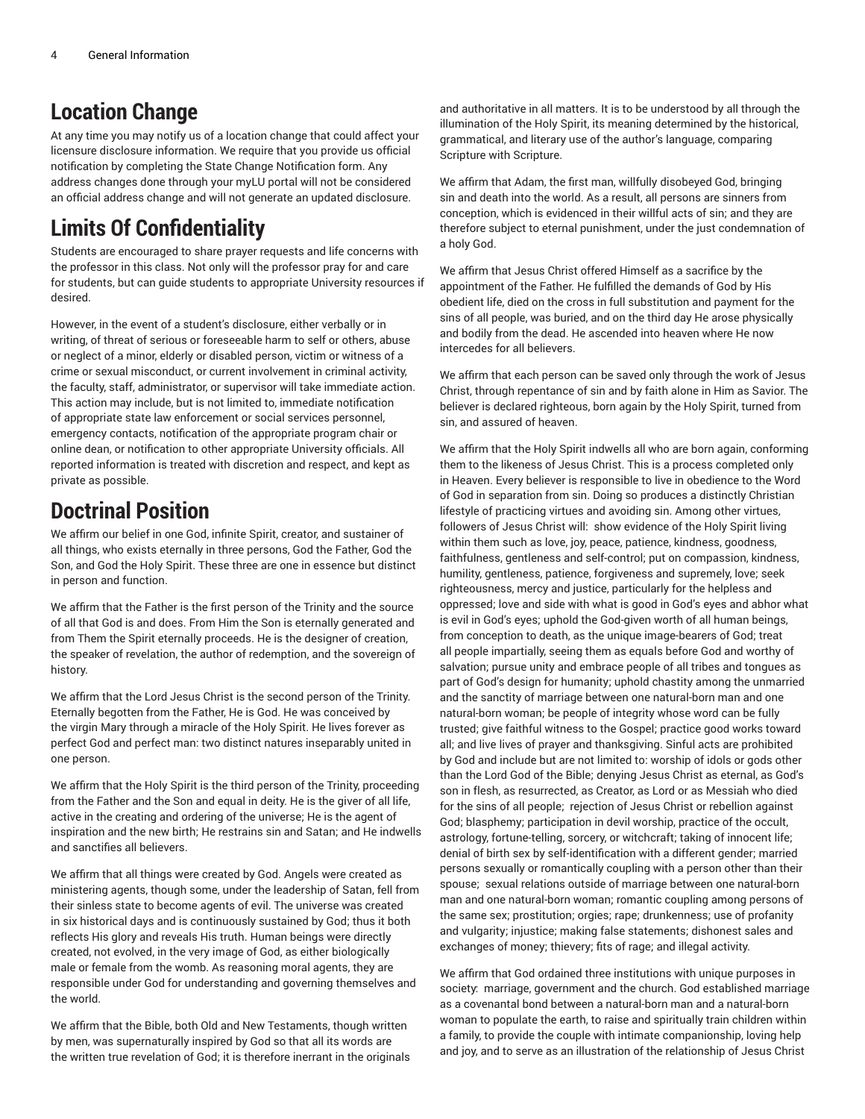### **Location Change**

At any time you may notify us of a location change that could affect your licensure disclosure information. We require that you provide us official notification by completing the [State Change Notification form.](https://www.liberty.edu/SFS_STATE_CHANGE/) Any address changes done through your myLU portal will not be considered an official address change and will not generate an updated disclosure.

### **Limits Of Confidentiality**

Students are encouraged to share prayer requests and life concerns with the professor in this class. Not only will the professor pray for and care for students, but can guide students to appropriate University resources if desired.

However, in the event of a student's disclosure, either verbally or in writing, of threat of serious or foreseeable harm to self or others, abuse or neglect of a minor, elderly or disabled person, victim or witness of a crime or sexual misconduct, or current involvement in criminal activity, the faculty, staff, administrator, or supervisor will take immediate action. This action may include, but is not limited to, immediate notification of appropriate state law enforcement or social services personnel, emergency contacts, notification of the appropriate program chair or online dean, or notification to other appropriate University officials. All reported information is treated with discretion and respect, and kept as private as possible.

### **Doctrinal Position**

We affirm our belief in one God, infinite Spirit, creator, and sustainer of all things, who exists eternally in three persons, God the Father, God the Son, and God the Holy Spirit. These three are one in essence but distinct in person and function.

We affirm that the Father is the first person of the Trinity and the source of all that God is and does. From Him the Son is eternally generated and from Them the Spirit eternally proceeds. He is the designer of creation, the speaker of revelation, the author of redemption, and the sovereign of history.

We affirm that the Lord Jesus Christ is the second person of the Trinity. Eternally begotten from the Father, He is God. He was conceived by the virgin Mary through a miracle of the Holy Spirit. He lives forever as perfect God and perfect man: two distinct natures inseparably united in one person.

We affirm that the Holy Spirit is the third person of the Trinity, proceeding from the Father and the Son and equal in deity. He is the giver of all life, active in the creating and ordering of the universe; He is the agent of inspiration and the new birth; He restrains sin and Satan; and He indwells and sanctifies all believers.

We affirm that all things were created by God. Angels were created as ministering agents, though some, under the leadership of Satan, fell from their sinless state to become agents of evil. The universe was created in six historical days and is continuously sustained by God; thus it both reflects His glory and reveals His truth. Human beings were directly created, not evolved, in the very image of God, as either biologically male or female from the womb. As reasoning moral agents, they are responsible under God for understanding and governing themselves and the world.

We affirm that the Bible, both Old and New Testaments, though written by men, was supernaturally inspired by God so that all its words are the written true revelation of God; it is therefore inerrant in the originals

and authoritative in all matters. It is to be understood by all through the illumination of the Holy Spirit, its meaning determined by the historical, grammatical, and literary use of the author's language, comparing Scripture with Scripture.

We affirm that Adam, the first man, willfully disobeyed God, bringing sin and death into the world. As a result, all persons are sinners from conception, which is evidenced in their willful acts of sin; and they are therefore subject to eternal punishment, under the just condemnation of a holy God.

We affirm that Jesus Christ offered Himself as a sacrifice by the appointment of the Father. He fulfilled the demands of God by His obedient life, died on the cross in full substitution and payment for the sins of all people, was buried, and on the third day He arose physically and bodily from the dead. He ascended into heaven where He now intercedes for all believers.

We affirm that each person can be saved only through the work of Jesus Christ, through repentance of sin and by faith alone in Him as Savior. The believer is declared righteous, born again by the Holy Spirit, turned from sin, and assured of heaven.

We affirm that the Holy Spirit indwells all who are born again, conforming them to the likeness of Jesus Christ. This is a process completed only in Heaven. Every believer is responsible to live in obedience to the Word of God in separation from sin. Doing so produces a distinctly Christian lifestyle of practicing virtues and avoiding sin. Among other virtues, followers of Jesus Christ will: show evidence of the Holy Spirit living within them such as love, joy, peace, patience, kindness, goodness, faithfulness, gentleness and self-control; put on compassion, kindness, humility, gentleness, patience, forgiveness and supremely, love; seek righteousness, mercy and justice, particularly for the helpless and oppressed; love and side with what is good in God's eyes and abhor what is evil in God's eyes; uphold the God-given worth of all human beings, from conception to death, as the unique image-bearers of God; treat all people impartially, seeing them as equals before God and worthy of salvation; pursue unity and embrace people of all tribes and tongues as part of God's design for humanity; uphold chastity among the unmarried and the sanctity of marriage between one natural-born man and one natural-born woman; be people of integrity whose word can be fully trusted; give faithful witness to the Gospel; practice good works toward all; and live lives of prayer and thanksgiving. Sinful acts are prohibited by God and include but are not limited to: worship of idols or gods other than the Lord God of the Bible; denying Jesus Christ as eternal, as God's son in flesh, as resurrected, as Creator, as Lord or as Messiah who died for the sins of all people; rejection of Jesus Christ or rebellion against God; blasphemy; participation in devil worship, practice of the occult, astrology, fortune-telling, sorcery, or witchcraft; taking of innocent life; denial of birth sex by self-identification with a different gender; married persons sexually or romantically coupling with a person other than their spouse; sexual relations outside of marriage between one natural-born man and one natural-born woman; romantic coupling among persons of the same sex; prostitution; orgies; rape; drunkenness; use of profanity and vulgarity; injustice; making false statements; dishonest sales and exchanges of money; thievery; fits of rage; and illegal activity.

We affirm that God ordained three institutions with unique purposes in society: marriage, government and the church. God established marriage as a covenantal bond between a natural-born man and a natural-born woman to populate the earth, to raise and spiritually train children within a family, to provide the couple with intimate companionship, loving help and joy, and to serve as an illustration of the relationship of Jesus Christ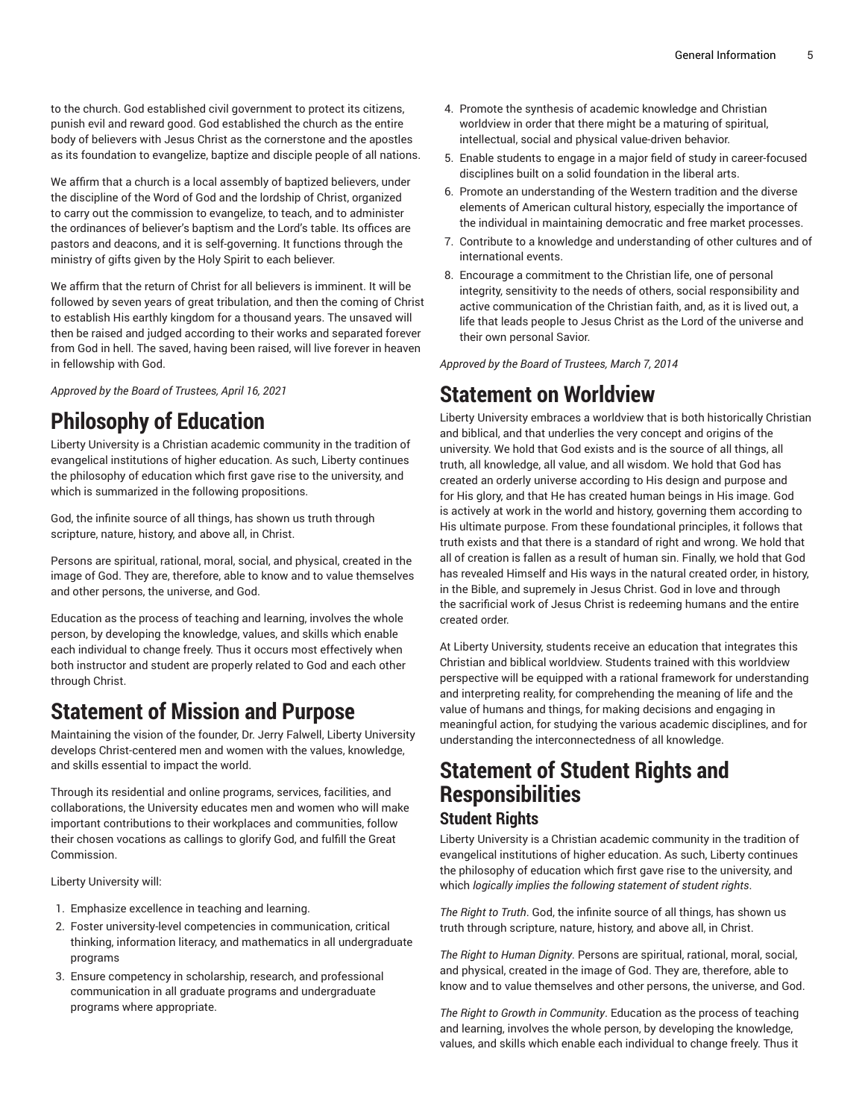to the church. God established civil government to protect its citizens, punish evil and reward good. God established the church as the entire body of believers with Jesus Christ as the cornerstone and the apostles as its foundation to evangelize, baptize and disciple people of all nations.

We affirm that a church is a local assembly of baptized believers, under the discipline of the Word of God and the lordship of Christ, organized to carry out the commission to evangelize, to teach, and to administer the ordinances of believer's baptism and the Lord's table. Its offices are pastors and deacons, and it is self-governing. It functions through the ministry of gifts given by the Holy Spirit to each believer.

We affirm that the return of Christ for all believers is imminent. It will be followed by seven years of great tribulation, and then the coming of Christ to establish His earthly kingdom for a thousand years. The unsaved will then be raised and judged according to their works and separated forever from God in hell. The saved, having been raised, will live forever in heaven in fellowship with God.

*Approved by the Board of Trustees, April 16, 2021*

### **Philosophy of Education**

Liberty University is a Christian academic community in the tradition of evangelical institutions of higher education. As such, Liberty continues the philosophy of education which first gave rise to the university, and which is summarized in the following propositions.

God, the infinite source of all things, has shown us truth through scripture, nature, history, and above all, in Christ.

Persons are spiritual, rational, moral, social, and physical, created in the image of God. They are, therefore, able to know and to value themselves and other persons, the universe, and God.

Education as the process of teaching and learning, involves the whole person, by developing the knowledge, values, and skills which enable each individual to change freely. Thus it occurs most effectively when both instructor and student are properly related to God and each other through Christ.

### **Statement of Mission and Purpose**

Maintaining the vision of the founder, Dr. Jerry Falwell, Liberty University develops Christ-centered men and women with the values, knowledge, and skills essential to impact the world.

Through its residential and online programs, services, facilities, and collaborations, the University educates men and women who will make important contributions to their workplaces and communities, follow their chosen vocations as callings to glorify God, and fulfill the Great Commission.

Liberty University will:

- 1. Emphasize excellence in teaching and learning.
- 2. Foster university-level competencies in communication, critical thinking, information literacy, and mathematics in all undergraduate programs
- 3. Ensure competency in scholarship, research, and professional communication in all graduate programs and undergraduate programs where appropriate.
- 4. Promote the synthesis of academic knowledge and Christian worldview in order that there might be a maturing of spiritual, intellectual, social and physical value-driven behavior.
- 5. Enable students to engage in a major field of study in career-focused disciplines built on a solid foundation in the liberal arts.
- 6. Promote an understanding of the Western tradition and the diverse elements of American cultural history, especially the importance of the individual in maintaining democratic and free market processes.
- 7. Contribute to a knowledge and understanding of other cultures and of international events.
- 8. Encourage a commitment to the Christian life, one of personal integrity, sensitivity to the needs of others, social responsibility and active communication of the Christian faith, and, as it is lived out, a life that leads people to Jesus Christ as the Lord of the universe and their own personal Savior.

*Approved by the Board of Trustees, March 7, 2014*

### **Statement on Worldview**

Liberty University embraces a worldview that is both historically Christian and biblical, and that underlies the very concept and origins of the university. We hold that God exists and is the source of all things, all truth, all knowledge, all value, and all wisdom. We hold that God has created an orderly universe according to His design and purpose and for His glory, and that He has created human beings in His image. God is actively at work in the world and history, governing them according to His ultimate purpose. From these foundational principles, it follows that truth exists and that there is a standard of right and wrong. We hold that all of creation is fallen as a result of human sin. Finally, we hold that God has revealed Himself and His ways in the natural created order, in history, in the Bible, and supremely in Jesus Christ. God in love and through the sacrificial work of Jesus Christ is redeeming humans and the entire created order.

At Liberty University, students receive an education that integrates this Christian and biblical worldview. Students trained with this worldview perspective will be equipped with a rational framework for understanding and interpreting reality, for comprehending the meaning of life and the value of humans and things, for making decisions and engaging in meaningful action, for studying the various academic disciplines, and for understanding the interconnectedness of all knowledge.

# **Statement of Student Rights and Responsibilities**

#### **Student Rights**

Liberty University is a Christian academic community in the tradition of evangelical institutions of higher education. As such, Liberty continues the philosophy of education which first gave rise to the university, and which *logically implies the following statement of student rights*.

*The Right to Truth*. God, the infinite source of all things, has shown us truth through scripture, nature, history, and above all, in Christ.

*The Right to Human Dignity*. Persons are spiritual, rational, moral, social, and physical, created in the image of God. They are, therefore, able to know and to value themselves and other persons, the universe, and God.

*The Right to Growth in Community*. Education as the process of teaching and learning, involves the whole person, by developing the knowledge, values, and skills which enable each individual to change freely. Thus it